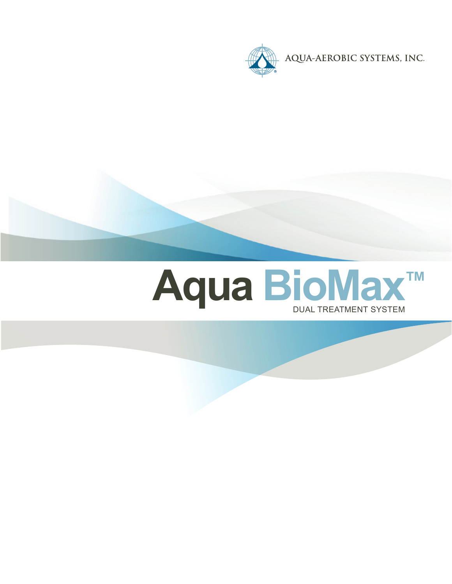



# **Aqua BioMax™**